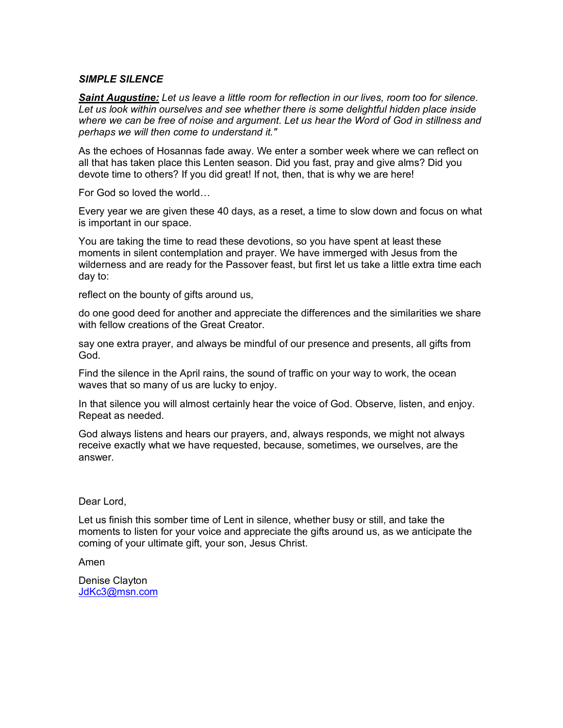## *SIMPLE SILENCE*

*Saint Augustine: Let us leave a little room for reflection in our lives, room too for silence. Let us look within ourselves and see whether there is some delightful hidden place inside where we can be free of noise and argument. Let us hear the Word of God in stillness and perhaps we will then come to understand it."*

As the echoes of Hosannas fade away. We enter a somber week where we can reflect on all that has taken place this Lenten season. Did you fast, pray and give alms? Did you devote time to others? If you did great! If not, then, that is why we are here!

For God so loved the world…

Every year we are given these 40 days, as a reset, a time to slow down and focus on what is important in our space.

You are taking the time to read these devotions, so you have spent at least these moments in silent contemplation and prayer. We have immerged with Jesus from the wilderness and are ready for the Passover feast, but first let us take a little extra time each day to:

reflect on the bounty of gifts around us,

do one good deed for another and appreciate the differences and the similarities we share with fellow creations of the Great Creator.

say one extra prayer, and always be mindful of our presence and presents, all gifts from God.

Find the silence in the April rains, the sound of traffic on your way to work, the ocean waves that so many of us are lucky to enjoy.

In that silence you will almost certainly hear the voice of God. Observe, listen, and enjoy. Repeat as needed.

God always listens and hears our prayers, and, always responds, we might not always receive exactly what we have requested, because, sometimes, we ourselves, are the answer.

## Dear Lord,

Let us finish this somber time of Lent in silence, whether busy or still, and take the moments to listen for your voice and appreciate the gifts around us, as we anticipate the coming of your ultimate gift, your son, Jesus Christ.

Amen

Denise Clayton [JdKc3@msn.com](mailto:JdKc3@msn.com)